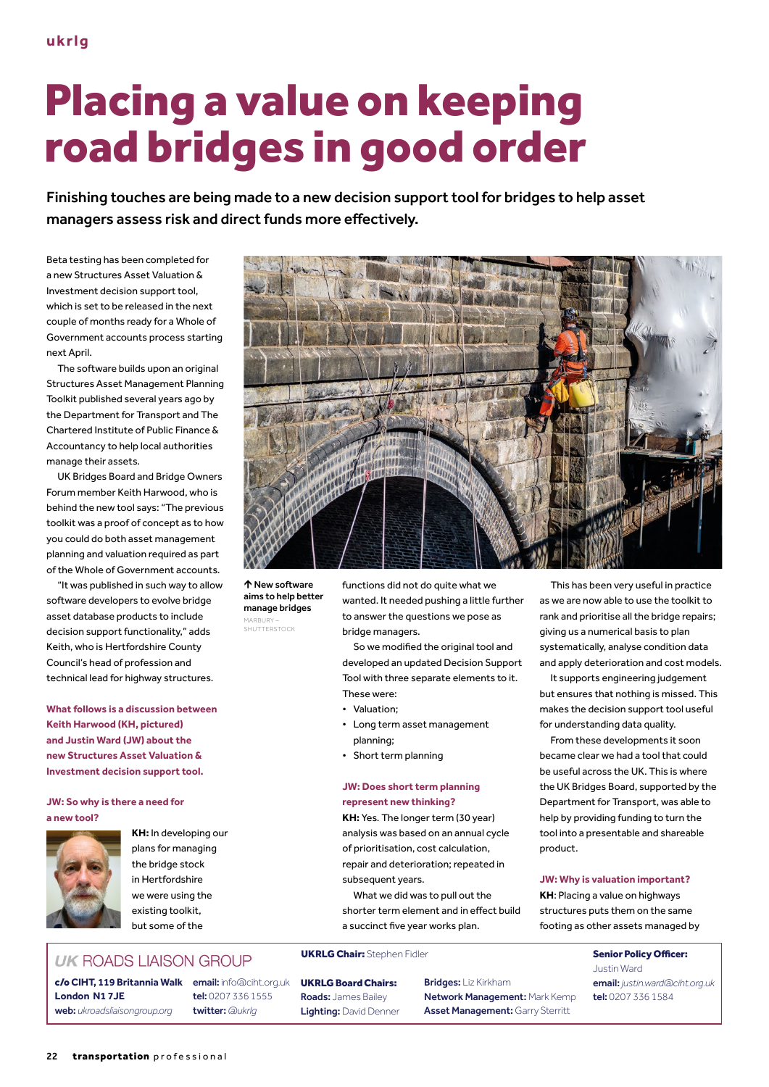# Placing a value on keeping road bridges in good order

Finishing touches are being made to a new decision support tool for bridges to help asset managers assess risk and direct funds more effectively.

Beta testing has been completed for a new Structures Asset Valuation & Investment decision support tool, which is set to be released in the next couple of months ready for a Whole of Government accounts process starting next April.

The software builds upon an original Structures Asset Management Planning Toolkit published several years ago by the Department for Transport and The Chartered Institute of Public Finance & Accountancy to help local authorities manage their assets.

UK Bridges Board and Bridge Owners Forum member Keith Harwood, who is behind the new tool says: "The previous toolkit was a proof of concept as to how you could do both asset management planning and valuation required as part of the Whole of Government accounts.

"It was published in such way to allow software developers to evolve bridge asset database products to include decision support functionality," adds Keith, who is Hertfordshire County Council's head of profession and technical lead for highway structures.

**What follows is a discussion between Keith Harwood (KH, pictured) and Justin Ward (JW) about the new Structures Asset Valuation & Investment decision support tool.**

#### **JW: So why is there a need for a new tool?**



**KH:** In developing our plans for managing the bridge stock in Hertfordshire we were using the existing toolkit, but some of the

## **UK ROADS LIAISON GROUP**

c/o **CIHT, 119 Britannia Walk** email: info@ciht.org.uk **London N1 7JE** web: *ukroadsliaisongroup.org*

tel: 0207 336 1555 twitter: *@ukrlg*



 New software aims to help better manage bridges MARBURY –<br>SHUTTERSTOCK

functions did not do quite what we wanted. It needed pushing a little further to answer the questions we pose as bridge managers.

So we modified the original tool and developed an updated Decision Support Tool with three separate elements to it. These were:

- Valuation;
- Long term asset management planning;
- Short term planning

#### **JW: Does short term planning represent new thinking?**

**KH:** Yes. The longer term (30 year) analysis was based on an annual cycle of prioritisation, cost calculation, repair and deterioration; repeated in subsequent years.

What we did was to pull out the shorter term element and in effect build a succinct five year works plan.

### UKRLG Chair: Stephen Fidler Senior Policy Officer:

UKRLG Board Chairs: Roads: James Bailey Lighting: David Denner Bridges: Liz Kirkham Network Management: Mark Kemp Asset Management: Garry Sterritt

This has been very useful in practice as we are now able to use the toolkit to rank and prioritise all the bridge repairs; giving us a numerical basis to plan systematically, analyse condition data and apply deterioration and cost models.

It supports engineering judgement but ensures that nothing is missed. This makes the decision support tool useful for understanding data quality.

From these developments it soon became clear we had a tool that could be useful across the UK. This is where the UK Bridges Board, supported by the Department for Transport, was able to help by providing funding to turn the tool into a presentable and shareable product.

#### **JW: Why is valuation important?**

**KH**: Placing a value on highways structures puts them on the same footing as other assets managed by

> Justin Ward email: *justin.ward@ciht.org.uk* tel: 0207 336 1584